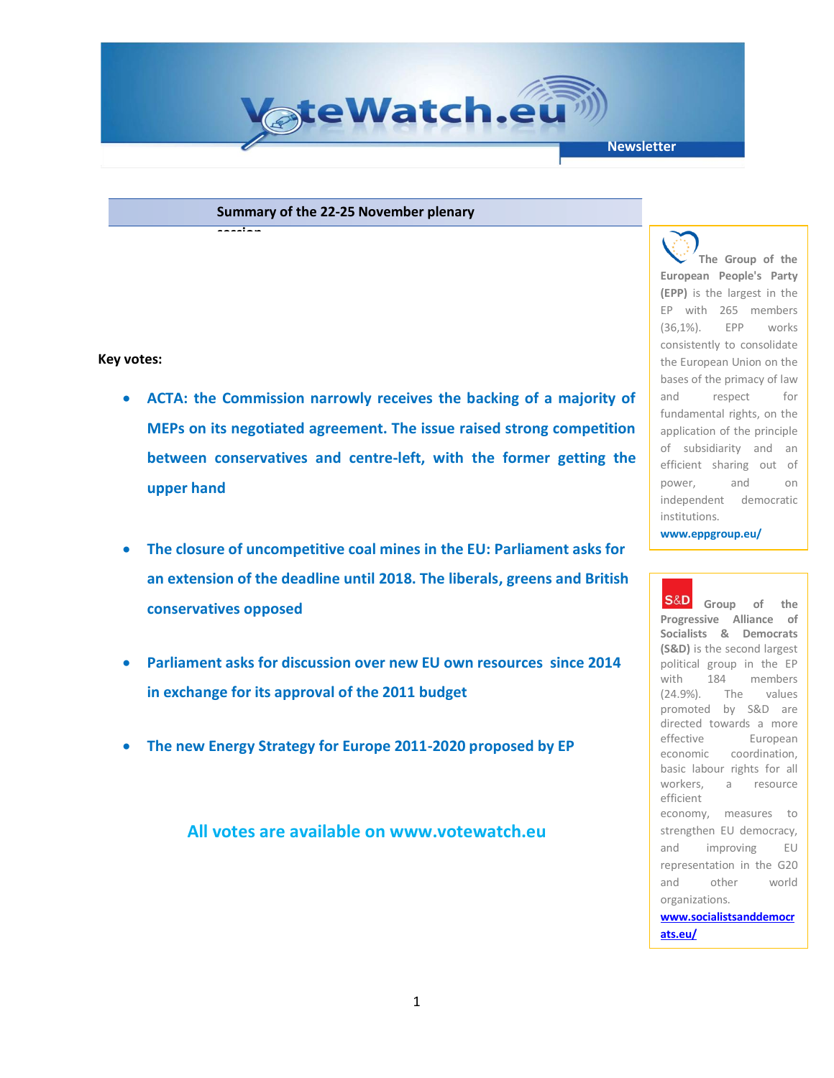

**Summary of the 22-25 November plenary** 

**session**

## **Key votes:**

- **ACTA: the Commission narrowly receives the backing of a majority of MEPs on its negotiated agreement. The issue raised strong competition between conservatives and centre-left, with the former getting the upper hand**
- **The closure of uncompetitive coal mines in the EU: Parliament asks for an extension of the deadline until 2018. The liberals, greens and British conservatives opposed**
- **Parliament asks for discussion over new EU own resources since 2014 in exchange for its approval of the 2011 budget**
- **The new Energy Strategy for Europe 2011-2020 proposed by EP**

**All votes are available on www.votewatch.eu**

**The Group of the European People's Party (EPP)** is the largest in the EP with 265 members (36,1%). EPP works consistently to consolidate the European Union on the bases of the primacy of law and respect for fundamental rights, on the application of the principle of subsidiarity and an efficient sharing out of power, and on independent democratic institutions.

**www.eppgroup.eu/**

**Group of the Progressive Alliance of Socialists & Democrats (S&D)** is the second largest political group in the EP with 184 members (24.9%). The values promoted by S&D are directed towards a more effective European economic coordination, basic labour rights for all workers, a resource efficient economy, measures to strengthen EU democracy, and improving EU representation in the G20 and other world organizations. **[www.socialistsanddemocr](http://www.socialistsanddemocrats.eu/)**

**[ats.eu/](http://www.socialistsanddemocrats.eu/)**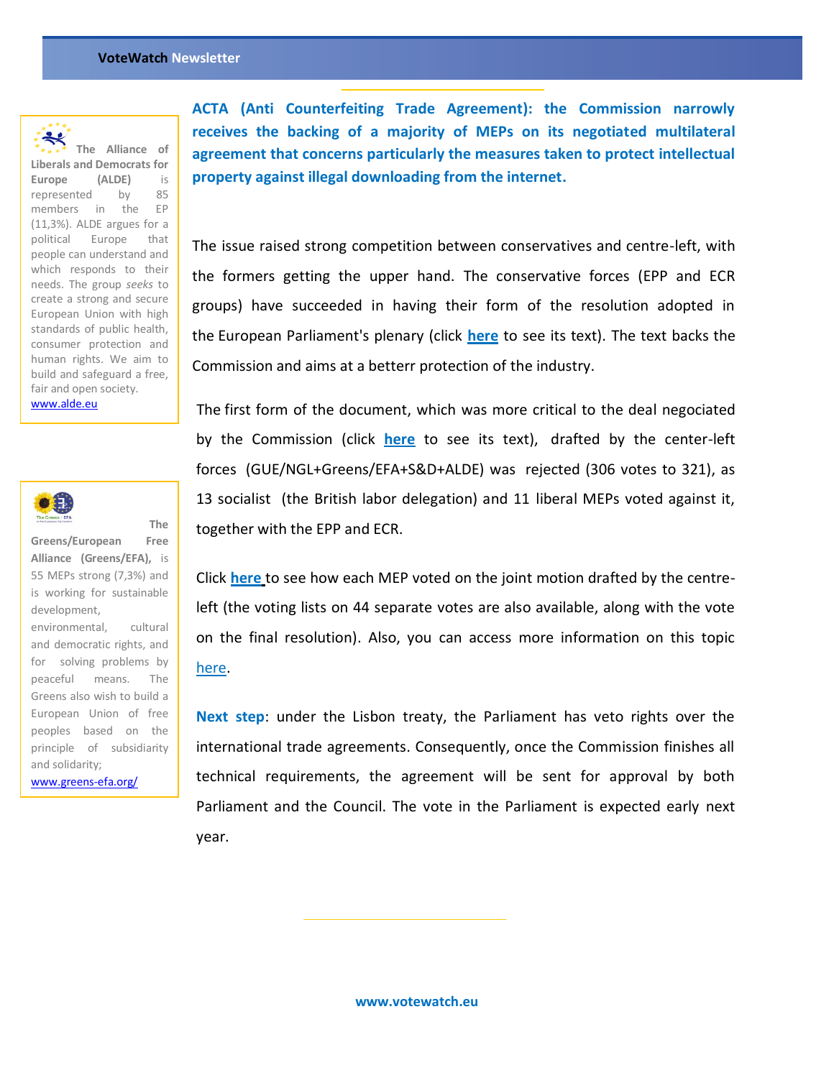

The Alliance of **Liberals and Democrats for Europe (ALDE)** is represented by 85 members in the EP (11,3%). ALDE argues for a political Europe that people can understand and which responds to their needs. The group *seeks* to create a strong and secure European Union with high standards of public health, consumer protection and human rights. We aim to build and safeguard a free, fair and open society. [www.alde.eu](http://www.alde.eu/)



**Greens/European Free Alliance (Greens/EFA),** is 55 MEPs strong (7,3%) and is working for sustainable development,

**The** 

environmental, cultural and democratic rights, and for solving problems by peaceful means. The Greens also wish to build a European Union of free peoples based on the principle of subsidiarity and solidarity;

[www.greens-efa.org/](http://www.greens-efa.org/)

**ACTA (Anti Counterfeiting Trade Agreement): the Commission narrowly receives the backing of a majority of MEPs on its negotiated multilateral agreement that concerns particularly the measures taken to protect intellectual property against illegal downloading from the internet.** 

The issue raised strong competition between conservatives and centre-left, with the formers getting the upper hand. The conservative forces (EPP and ECR groups) have succeeded in having their form of the resolution adopted in the European Parliament's plenary (click **[here](http://www.europarl.europa.eu/sides/getDoc.do?type=MOTION&reference=B7-2010-0618&language=EN)** to see its text). The text backs the Commission and aims at a betterr protection of the industry.

The first form of the document, which was more critical to the deal negociated by the Commission (click **[here](http://www.europarl.europa.eu/sides/getDoc.do?type=MOTION&reference=P7-RC-2010-0617&language=EN)** to see its text), drafted by the center-left forces (GUE/NGL+Greens/EFA+S&D+ALDE) was rejected (306 votes to 321), as 13 socialist (the British labor delegation) and 11 liberal MEPs voted against it, together with the EPP and ECR.

Click **[here](http://votewatch.eu/cx_vote_details.php?id_act=1189&lang=en)** to see how each MEP voted on the joint motion drafted by the centreleft (the voting lists on 44 separate votes are also available, along with the vote on the final resolution). Also, you can access more information on this topic [here.](http://www.europarl.europa.eu/en/pressroom/content/20101124IPR99549)

**Next step**: under the Lisbon treaty, the Parliament has veto rights over the international trade agreements. Consequently, once the Commission finishes all technical requirements, the agreement will be sent for approval by both Parliament and the Council. The vote in the Parliament is expected early next year.

**www.votewatch.eu**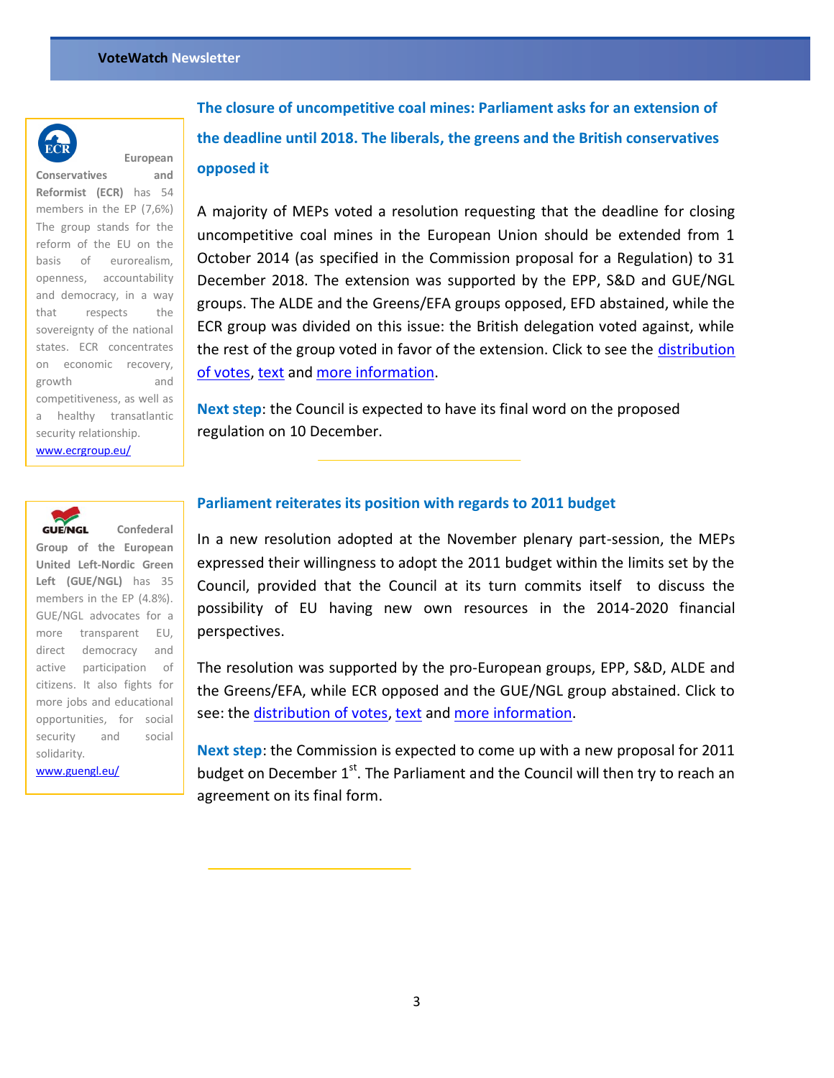

**European** 

**Conservatives and Reformist (ECR)** has 54 members in the EP (7,6%) The group stands for the reform of the EU on the basis of eurorealism, openness, accountability and democracy, in a way that respects the sovereignty of the national states. ECR concentrates on economic recovery, growth and competitiveness, as well as a healthy transatlantic security relationship. [www.ecrgroup.eu/](http://www.ecrgroup.eu/)

**The closure of uncompetitive coal mines: Parliament asks for an extension of the deadline until 2018. The liberals, the greens and the British conservatives opposed it**

A majority of MEPs voted a resolution requesting that the deadline for closing uncompetitive coal mines in the European Union should be extended from 1 October 2014 (as specified in the Commission proposal for a Regulation) to 31 December 2018. The extension was supported by the EPP, S&D and GUE/NGL groups. The ALDE and the Greens/EFA groups opposed, EFD abstained, while the ECR group was divided on this issue: the British delegation voted against, while the rest of the group voted in favor of the extension. Click to see the distribution [of votes,](http://votewatch.eu/cx_vote_details.php?id_act=1137&lang=en) [text](http://www.europarl.europa.eu/sides/getDoc.do?type=REPORT&reference=A7-2010-0324&language=EN) and [more information.](http://www.europarl.europa.eu/en/pressroom/content/20101123IPR97948)

**Next step**: the Council is expected to have its final word on the proposed regulation on 10 December.



**Confederal Group of the European United Left-Nordic Green Left (GUE/NGL)** has 35 members in the EP (4.8%). GUE/NGL advocates for a more transparent EU, direct democracy and active participation of citizens. It also fights for more jobs and educational opportunities, for social security and social solidarity.

[www.guengl.eu/](http://www.guengl.eu/)

## **Parliament reiterates its position with regards to 2011 budget**

In a new resolution adopted at the November plenary part-session, the MEPs expressed their willingness to adopt the 2011 budget within the limits set by the Council, provided that the Council at its turn commits itself to discuss the possibility of EU having new own resources in the 2014-2020 financial perspectives.

The resolution was supported by the pro-European groups, EPP, S&D, ALDE and the Greens/EFA, while ECR opposed and the GUE/NGL group abstained. Click to see: the [distribution of votes,](http://votewatch.eu/cx_vote_details.php?id_act=1190&lang=en) [text](http://www.europarl.europa.eu/sides/getDoc.do?type=MOTION&reference=B7-2010-0683&language=EN) and [more information.](http://www.europarl.europa.eu/en/pressroom/content/20101125IPR00528)

**Next step**: the Commission is expected to come up with a new proposal for 2011 budget on December  $1<sup>st</sup>$ . The Parliament and the Council will then try to reach an agreement on its final form.